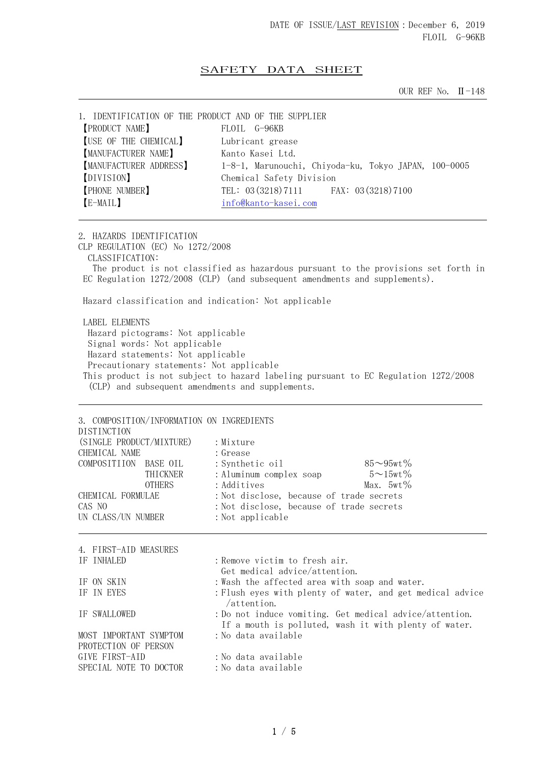## SAFETY DATA SHEET

OUR REF No. Ⅱ-148

| 1. IDENTIFICATION OF THE PRODUCT AND OF THE SUPPLIER |                                                      |
|------------------------------------------------------|------------------------------------------------------|
| <b>PRODUCT NAME</b>                                  | FLOIL G-96KB                                         |
| [USE OF THE CHEMICAL]                                | Lubricant grease                                     |
| [MANUFACTURER NAME]                                  | Kanto Kasei Ltd.                                     |
| <b>MANUFACTURER ADDRESS</b>                          | 1-8-1, Marunouchi, Chiyoda-ku, Tokyo JAPAN, 100-0005 |
| [DIVISION]                                           | Chemical Safety Division                             |
| <b>PHONE NUMBER</b>                                  | TEL: 03 (3218) 7111 FAX: 03 (3218) 7100              |
| [E-MAIL]                                             | info@kanto-kasei.com                                 |
|                                                      |                                                      |

2. HAZARDS IDENTIFICATION CLP REGULATION (EC) No 1272/2008 CLASSIFICATION: The product is not classified as hazardous pursuant to the provisions set forth in EC Regulation 1272/2008 (CLP) (and subsequent amendments and supplements). Hazard classification and indication: Not applicable

 LABEL ELEMENTS Hazard pictograms: Not applicable Signal words: Not applicable Hazard statements: Not applicable Precautionary statements: Not applicable This product is not subject to hazard labeling pursuant to EC Regulation 1272/2008 (CLP) and subsequent amendments and supplements.

| 3. COMPOSITION/INFORMATION ON INGREDIENTS<br>DISTINCTION |                                                                                                                  |
|----------------------------------------------------------|------------------------------------------------------------------------------------------------------------------|
| (SINGLE PRODUCT/MIXTURE)<br>CHEMICAL NAME                | : Mixture<br>: Grease                                                                                            |
| COMPOSITIION BASE OIL<br>THICKNER<br><b>OTHERS</b>       | $85 - 95wt%$<br>: Synthetic oil<br>$5 \sim 15$ wt $\%$<br>: Aluminum complex soap<br>: Additives<br>Max. $5wt\%$ |
| CHEMICAL FORMULAE<br>CAS NO<br>UN CLASS/UN NUMBER        | : Not disclose, because of trade secrets<br>: Not disclose, because of trade secrets<br>: Not applicable         |
| 4. FIRST-AID MEASURES                                    |                                                                                                                  |
| IF INHALED                                               | : Remove victim to fresh air.<br>Get medical advice/attention.                                                   |
| IF ON SKIN<br>IF IN EYES                                 | : Wash the affected area with soap and water.<br>: Flush eyes with plenty of water, and get medical advice       |
| IF SWALLOWED                                             | $/$ attention.<br>: Do not induce vomiting. Get medical advice/attention.                                        |
| MOST IMPORTANT SYMPTOM<br>PROTECTION OF PERSON           | If a mouth is polluted, wash it with plenty of water.<br>:No data available                                      |
| GIVE FIRST-AID                                           | : No data available                                                                                              |
| SPECIAL NOTE TO DOCTOR                                   | :No data available                                                                                               |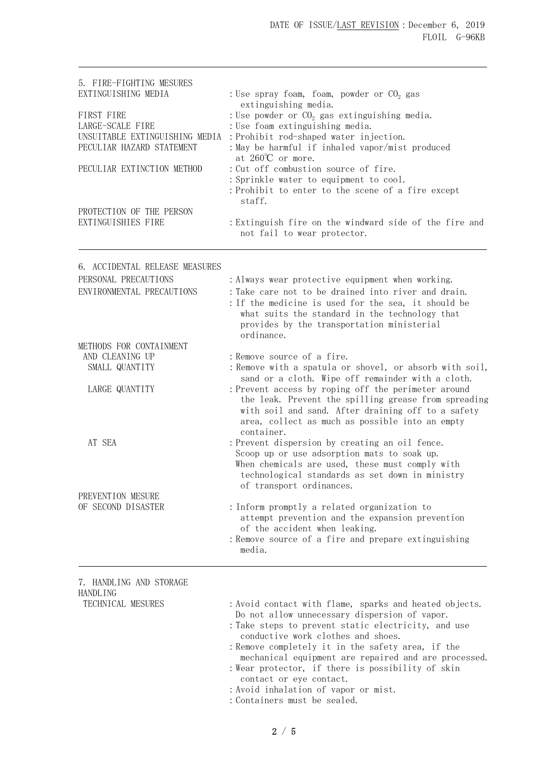| 5. FIRE-FIGHTING MESURES<br>EXTINGUISHING MEDIA                                                                             | : Use spray foam, foam, powder or $CO2$ gas                                                                                                                                                                                                                                                                                                                                                                                                                               |  |
|-----------------------------------------------------------------------------------------------------------------------------|---------------------------------------------------------------------------------------------------------------------------------------------------------------------------------------------------------------------------------------------------------------------------------------------------------------------------------------------------------------------------------------------------------------------------------------------------------------------------|--|
| FIRST FIRE<br>LARGE-SCALE FIRE<br>UNSUITABLE EXTINGUISHING MEDIA<br>PECULIAR HAZARD STATEMENT<br>PECULIAR EXTINCTION METHOD | extinguishing media.<br>: Use powder or $CO2$ gas extinguishing media.<br>: Use foam extinguishing media.<br>: Prohibit rod-shaped water injection.<br>: May be harmful if inhaled vapor/mist produced<br>at $260^{\circ}$ or more.<br>: Cut off combustion source of fire.<br>: Sprinkle water to equipment to cool.<br>: Prohibit to enter to the scene of a fire except                                                                                                |  |
| PROTECTION OF THE PERSON<br>EXTINGUISHIES FIRE                                                                              | staff.<br>: Extinguish fire on the windward side of the fire and<br>not fail to wear protector.                                                                                                                                                                                                                                                                                                                                                                           |  |
|                                                                                                                             |                                                                                                                                                                                                                                                                                                                                                                                                                                                                           |  |
| 6. ACCIDENTAL RELEASE MEASURES<br>PERSONAL PRECAUTIONS<br>ENVIRONMENTAL PRECAUTIONS                                         | : Always wear protective equipment when working.<br>: Take care not to be drained into river and drain.<br>: If the medicine is used for the sea, it should be<br>what suits the standard in the technology that                                                                                                                                                                                                                                                          |  |
|                                                                                                                             | provides by the transportation ministerial<br>ordinance.                                                                                                                                                                                                                                                                                                                                                                                                                  |  |
| METHODS FOR CONTAINMENT<br>AND CLEANING UP<br>SMALL QUANTITY                                                                | : Remove source of a fire.<br>: Remove with a spatula or shovel, or absorb with soil,                                                                                                                                                                                                                                                                                                                                                                                     |  |
| LARGE QUANTITY                                                                                                              | sand or a cloth. Wipe off remainder with a cloth.<br>: Prevent access by roping off the perimeter around<br>the leak. Prevent the spilling grease from spreading<br>with soil and sand. After draining off to a safety<br>area, collect as much as possible into an empty<br>container.                                                                                                                                                                                   |  |
| AT SEA                                                                                                                      | : Prevent dispersion by creating an oil fence.<br>Scoop up or use adsorption mats to soak up.<br>When chemicals are used, these must comply with<br>technological standards as set down in ministry<br>of transport ordinances.                                                                                                                                                                                                                                           |  |
| PREVENTION MESURE<br>OF SECOND DISASTER                                                                                     | : Inform promptly a related organization to<br>attempt prevention and the expansion prevention<br>of the accident when leaking.<br>: Remove source of a fire and prepare extinguishing<br>media.                                                                                                                                                                                                                                                                          |  |
| 7. HANDLING AND STORAGE                                                                                                     |                                                                                                                                                                                                                                                                                                                                                                                                                                                                           |  |
| HANDLING<br>TECHNICAL MESURES                                                                                               | : Avoid contact with flame, sparks and heated objects.<br>Do not allow unnecessary dispersion of vapor.<br>: Take steps to prevent static electricity, and use<br>conductive work clothes and shoes.<br>: Remove completely it in the safety area, if the<br>mechanical equipment are repaired and are processed.<br>: Wear protector, if there is possibility of skin<br>contact or eye contact.<br>: Avoid inhalation of vapor or mist.<br>: Containers must be sealed. |  |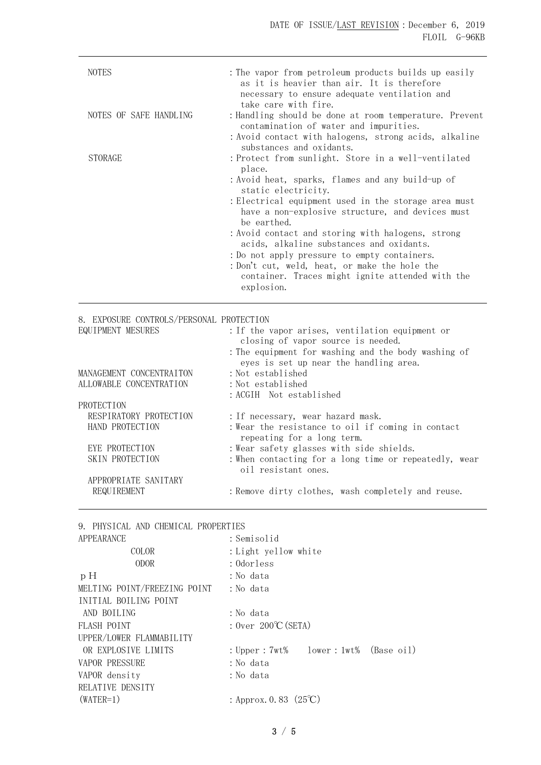| <b>NOTES</b>           | : The vapor from petroleum products builds up easily<br>as it is heavier than air. It is therefore<br>necessary to ensure adequate ventilation and<br>take care with fire.                                                                                                                                                                                                                                                                                                                                                             |
|------------------------|----------------------------------------------------------------------------------------------------------------------------------------------------------------------------------------------------------------------------------------------------------------------------------------------------------------------------------------------------------------------------------------------------------------------------------------------------------------------------------------------------------------------------------------|
| NOTES OF SAFE HANDLING | : Handling should be done at room temperature. Prevent<br>contamination of water and impurities.<br>:Avoid contact with halogens, strong acids, alkaline<br>substances and oxidants.                                                                                                                                                                                                                                                                                                                                                   |
| <b>STORAGE</b>         | : Protect from sunlight. Store in a well-ventilated<br>place.<br>: Avoid heat, sparks, flames and any build-up of<br>static electricity.<br>: Electrical equipment used in the storage area must<br>have a non-explosive structure, and devices must<br>be earthed.<br>: Avoid contact and storing with halogens, strong<br>acids, alkaline substances and oxidants.<br>: Do not apply pressure to empty containers.<br>:Don't cut, weld, heat, or make the hole the<br>container. Traces might ignite attended with the<br>explosion. |

8. EXPOSURE CONTROLS/PERSONAL PROTECTION EQUIPMENT MESURES :If the vapor arises, ventilation equipment or closing of vapor source is needed. :The equipment for washing and the body washing of eyes is set up near the handling area. MANAGEMENT CONCENTRAITON : Not established ALLOWABLE CONCENTRATION : Not established :ACGIH Not established PROTECTION RESPIRATORY PROTECTION : If necessary, wear hazard mask. HAND PROTECTION : Wear the resistance to oil if coming in contact repeating for a long term. EYE PROTECTION : Wear safety glasses with side shields. SKIN PROTECTION : When contacting for a long time or repeatedly, wear oil resistant ones. APPROPRIATE SANITARY REQUIREMENT : Remove dirty clothes, wash completely and reuse.

9. PHYSICAL AND CHEMICAL PROPERTIES

| APPEARANCE                   | : Semisolid                            |
|------------------------------|----------------------------------------|
| COLOR                        | : Light yellow white                   |
| <b>ODOR</b>                  | : Odorless                             |
| pH                           | : No data                              |
| MELTING POINT/FREEZING POINT | : No data                              |
| INITIAL BOILING POINT        |                                        |
| AND BOILING                  | : No data                              |
| FLASH POINT                  | : $0ver$ 200°C (SETA)                  |
| UPPER/LOWER FLAMMABILITY     |                                        |
| OR EXPLOSIVE LIMITS          | : Upper : 7wt% lower : 1wt% (Base oil) |
| <b>VAPOR PRESSURE</b>        | : No data                              |
| VAPOR density                | : No data                              |
| RELATIVE DENSITY             |                                        |
| $(WATER=1)$                  | : Approx. 0.83 $(25^{\circ}\text{C})$  |
|                              |                                        |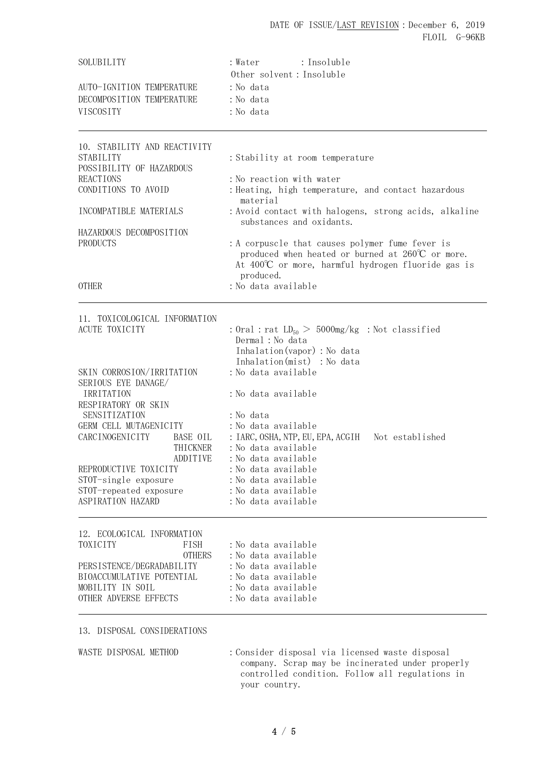# DATE OF ISSUE/LAST REVISION: December 6, 2019 FLOIL G-96KB

| SOLUBILITY                                             | : Water : Insoluble                                                                                                                                                         |
|--------------------------------------------------------|-----------------------------------------------------------------------------------------------------------------------------------------------------------------------------|
|                                                        | Other solvent: Insoluble                                                                                                                                                    |
| AUTO-IGNITION TEMPERATURE<br>DECOMPOSITION TEMPERATURE | : No data<br>: No data                                                                                                                                                      |
| VISCOSITY                                              | : No data                                                                                                                                                                   |
|                                                        |                                                                                                                                                                             |
| 10. STABILITY AND REACTIVITY                           |                                                                                                                                                                             |
| <b>STABILITY</b><br>POSSIBILITY OF HAZARDOUS           | : Stability at room temperature                                                                                                                                             |
| <b>REACTIONS</b><br>CONDITIONS TO AVOID                | : No reaction with water<br>: Heating, high temperature, and contact hazardous                                                                                              |
| INCOMPATIBLE MATERIALS                                 | material<br>: Avoid contact with halogens, strong acids, alkaline                                                                                                           |
| HAZARDOUS DECOMPOSITION                                | substances and oxidants.                                                                                                                                                    |
| <b>PRODUCTS</b>                                        | : A corpuscle that causes polymer fume fever is<br>produced when heated or burned at $260^{\circ}$ C or more.<br>At $400^{\circ}$ or more, harmful hydrogen fluoride gas is |
|                                                        | produced.                                                                                                                                                                   |
| <b>OTHER</b>                                           | : No data available                                                                                                                                                         |
| 11. TOXICOLOGICAL INFORMATION                          |                                                                                                                                                                             |
| <b>ACUTE TOXICITY</b>                                  | : Oral : rat $LD_{50} > 5000$ mg/kg : Not classified                                                                                                                        |
|                                                        | Dermal : No data                                                                                                                                                            |
|                                                        | Inhalation(vapor) : No data<br>Inhalation(mist) : No data                                                                                                                   |
| SKIN CORROSION/IRRITATION                              | : No data available                                                                                                                                                         |
| SERIOUS EYE DANAGE/                                    |                                                                                                                                                                             |
| IRRITATION                                             | : No data available                                                                                                                                                         |
| RESPIRATORY OR SKIN                                    |                                                                                                                                                                             |
| SENSITIZATION<br>GERM CELL MUTAGENICITY                | : No data<br>: No data available                                                                                                                                            |
| CARCINOGENICITY<br><b>BASE OIL</b>                     |                                                                                                                                                                             |
| THICKNER                                               | : No data available                                                                                                                                                         |
| ADDITIVE                                               | : No data available                                                                                                                                                         |
| REPRODUCTIVE TOXICITY                                  | : No data available                                                                                                                                                         |
| STOT-single exposure                                   | : No data available                                                                                                                                                         |
| STOT-repeated exposure<br>ASPIRATION HAZARD            | : No data available<br>: No data available                                                                                                                                  |
| 12. ECOLOGICAL INFORMATION                             |                                                                                                                                                                             |
| TOXICITY<br><b>FISH</b>                                | :No data available                                                                                                                                                          |
| <b>OTHERS</b>                                          | :No data available                                                                                                                                                          |
| PERSISTENCE/DEGRADABILITY                              | : No data available                                                                                                                                                         |
| BIOACCUMULATIVE POTENTIAL                              | : No data available                                                                                                                                                         |
| MOBILITY IN SOIL<br>OTHER ADVERSE EFFECTS              | : No data available<br>: No data available                                                                                                                                  |
| 13. DISPOSAL CONSIDERATIONS                            |                                                                                                                                                                             |
|                                                        |                                                                                                                                                                             |
| WASTE DISPOSAL METHOD                                  | : Consider disposal via licensed waste disposal<br>company. Scrap may be incinerated under properly                                                                         |

4 / 5

your country.

controlled condition. Follow all regulations in